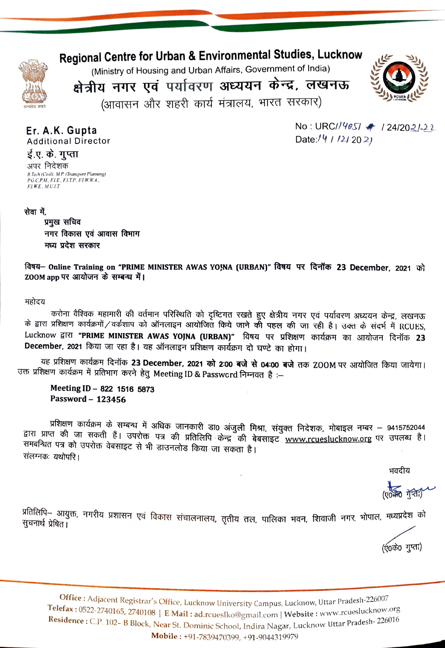## Regional Centre for Urban & Environmental Studies, Lucknow



(Ministry of Housing and Urban Affairs, Government of India)

क्षेत्रीय नगर एवं पर्यावरण अध्ययन केन्द्र, लखनऊ

(आवासन और शहरी कार्य मंत्रालय, भारत सरकार)



Er. A.K. Gupta **Additional Director**  No: URC//4057 + 124/2021-22 Date://  $1/242021$ 

## ई.ए. के. गुप्ता अपर निदेशक B.Tech (Civil), M.P. (Transport Planning)<br>P.G.C.P.M., F.I.E., F.I.T.P., F.I.W.W.A., **F.I.W.E., M.U.I.T.**

### सेवा में,

प्रमुख सचिव नगर विकास एवं आवास विभाग मध्य प्रदेश सरकार

विषय- Online Training on "PRIME MINISTER AWAS YO, NA (URBAN)" विषय पर दिनॉक 23 December, 2021 को ZOOM app पर आयोजन के सम्बन्ध में।

#### महोदय

करोना वैश्विक महामारी की वर्तमान परिस्थिति को दृष्टिगत रखते हुए क्षेत्रीय नगर एवं पर्यावरण अध्ययन केन्द्र, लखनऊ के द्वारा प्रशिक्षण कार्यक्रमों/वर्कशाप को ऑनलाइन आयोजित किये जाने की पहल की जा रही है। उक्त के संदर्भ में RCUES, Lucknow द्वारा "PRIME MINISTER AWAS YOJNA (URBAN)" विषय पर प्रशिक्षण कार्यक्रम का आयोजन दिनॉक 23 December, 2021 किया जा रहा है। यह ऑनलाइन प्रशिक्षण कार्यक्रम दो घण्टे का होगा।

यह प्रशिक्षण कार्यक्रम दिनॉक 23 December, 2021 को 2:00 बजे से 04:00 बजे तक ZOOM पर आयोजित किया जायेगा। उक्त प्रशिक्षण कार्यक्रम में प्रतिभाग करने हेतु Meeting ID & Password निम्नवत है :--

Meeting ID - 822 1516 5873 Password - 123456

प्रशिक्षण कार्यक्रम के सम्बन्ध में अधिक जानकारी डा0 अंजुली मिश्रा, संयुक्त निदेशक, मोबाइल नम्बर – 9415752044 द्वारा प्राप्त की जा सकती हैं। उपरोक्त पत्र की प्रतिलिपि केन्द्र की बेबसाइट www.rcueslucknow.org पर उपलब्ध है। समबन्धित पत्र को उपरोक्त वेबसाइट से भी डाउनलोड किया जा सकता है। संलग्नकः यथोपरि ।

भवदीय

 $(\sqrt{1000} + \sqrt{100})$ 

प्रतिलिपि– आयुक्त, नगरीय प्रशासन एवं विकास संचालनालय, तृतीय तल, पालिका भवन, शिवाजी नगर, भोपाल, मध्यप्रदेश को<br>सन्दर्भक्त सेक्टर सुचनार्थ प्रेषित।

(ए०के० गुप्ता)

Office: Adjacent Registrar's Office, Lucknow University Campus, Lucknow, Uttar Pradesh-226007 Telefax: 0522-2740165, 2740108 | E Mail: ad.rcueslko@gmail.com | Website: www.rcueslucknow.org Residence: C.P. 102- B Block, Near St. Dominic School, Indira Nagar, Lucknow Uttar Pradesh-226016 Mobile: +91-7839470399, +91-9044319979